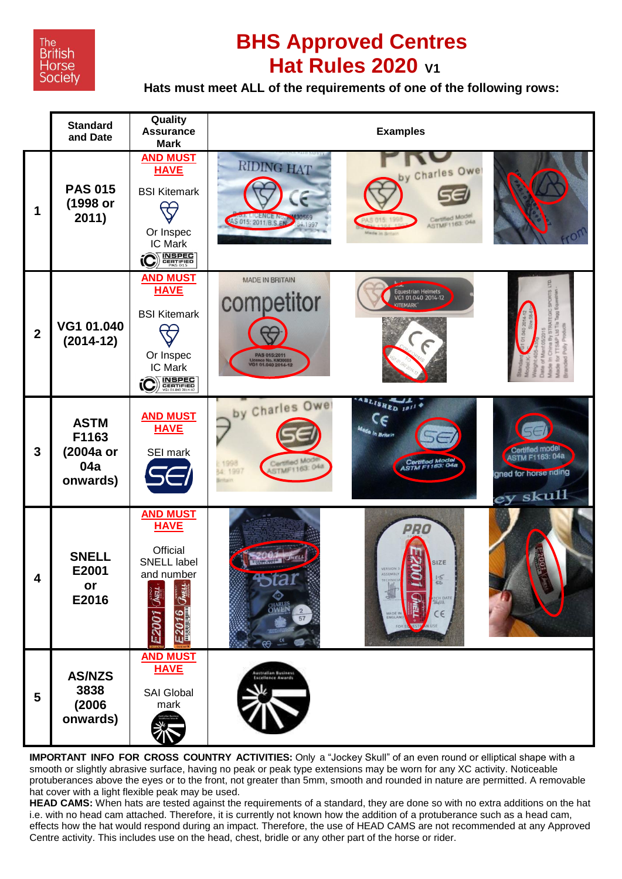

## **BHS Approved Centres Hat Rules 2020 V1**

**Hats must meet ALL of the requirements of one of the following rows:**



**IMPORTANT INFO FOR CROSS COUNTRY ACTIVITIES:** Only a "Jockey Skull" of an even round or elliptical shape with a smooth or slightly abrasive surface, having no peak or peak type extensions may be worn for any XC activity. Noticeable protuberances above the eyes or to the front, not greater than 5mm, smooth and rounded in nature are permitted. A removable hat cover with a light flexible peak may be used.

**HEAD CAMS:** When hats are tested against the requirements of a standard, they are done so with no extra additions on the hat i.e. with no head cam attached. Therefore, it is currently not known how the addition of a protuberance such as a head cam, effects how the hat would respond during an impact. Therefore, the use of HEAD CAMS are not recommended at any Approved Centre activity. This includes use on the head, chest, bridle or any other part of the horse or rider.